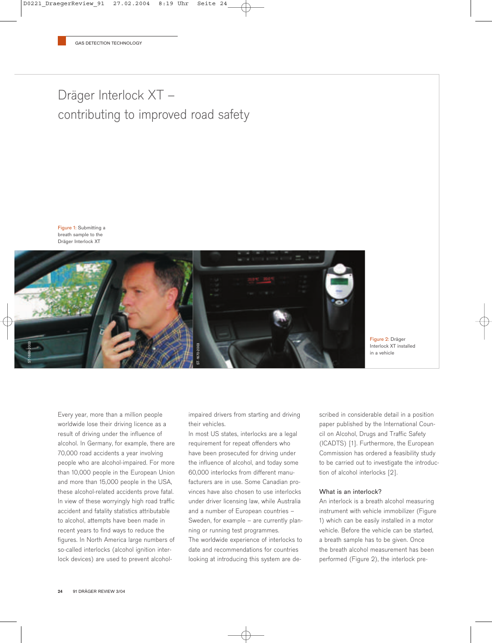# Dräger Interlock XT – contributing to improved road safety

Figure 1: Submitting a breath sample to the Dräger Interlock XT



Figure 2: Dräger Interlock XT installed in a vehicle

Every year, more than a million people worldwide lose their driving licence as a result of driving under the influence of alcohol. In Germany, for example, there are 70,000 road accidents a year involving people who are alcohol-impaired. For more than 10,000 people in the European Union and more than 15,000 people in the USA, these alcohol-related accidents prove fatal. In view of these worryingly high road traffic accident and fatality statistics attributable to alcohol, attempts have been made in recent years to find ways to reduce the figures. In North America large numbers of so-called interlocks (alcohol ignition interlock devices) are used to prevent alcoholimpaired drivers from starting and driving their vehicles.

In most US states, interlocks are a legal requirement for repeat offenders who have been prosecuted for driving under the influence of alcohol, and today some 60,000 interlocks from different manufacturers are in use. Some Canadian provinces have also chosen to use interlocks under driver licensing law, while Australia and a number of European countries – Sweden, for example – are currently planning or running test programmes. The worldwide experience of interlocks to date and recommendations for countries looking at introducing this system are described in considerable detail in a position paper published by the International Council on Alcohol, Drugs and Traffic Safety (ICADTS) [1]. Furthermore, the European Commission has ordered a feasibility study to be carried out to investigate the introduction of alcohol interlocks [2].

#### What is an interlock?

An interlock is a breath alcohol measuring instrument with vehicle immobilizer (Figure 1) which can be easily installed in a motor vehicle. Before the vehicle can be started, a breath sample has to be given. Once the breath alcohol measurement has been performed (Figure 2), the interlock pre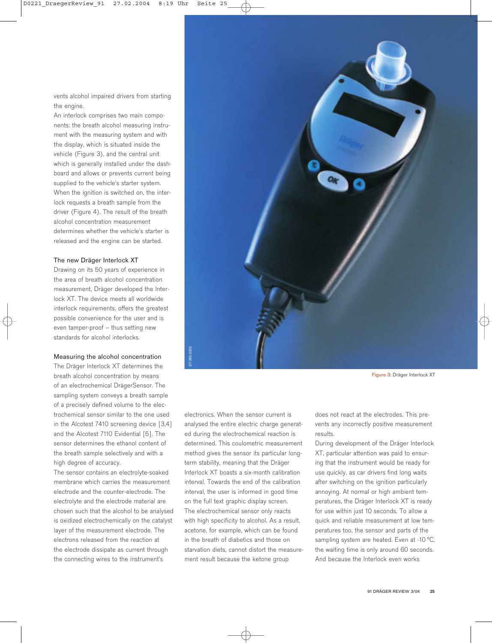vents alcohol impaired drivers from starting the engine.

An interlock comprises two main components: the breath alcohol measuring instrument with the measuring system and with the display, which is situated inside the vehicle (Figure 3), and the central unit which is generally installed under the dashboard and allows or prevents current being supplied to the vehicle's starter system. When the ignition is switched on, the interlock requests a breath sample from the driver (Figure 4). The result of the breath alcohol concentration measurement determines whether the vehicle's starter is released and the engine can be started.

## The new Dräger Interlock XT

Drawing on its 50 years of experience in the area of breath alcohol concentration measurement, Dräger developed the Interlock XT. The device meets all worldwide interlock requirements, offers the greatest possible convenience for the user and is even tamper-proof – thus setting new standards for alcohol interlocks.

#### Measuring the alcohol concentration

The Dräger Interlock XT determines the breath alcohol concentration by means of an electrochemical DrägerSensor. The sampling system conveys a breath sample of a precisely defined volume to the electrochemical sensor similar to the one used in the Alcotest 7410 screening device [3,4] and the Alcotest 7110 Evidential [5]. The sensor determines the ethanol content of the breath sample selectively and with a high degree of accuracy.

The sensor contains an electrolyte-soaked membrane which carries the measurement electrode and the counter-electrode. The electrolyte and the electrode material are chosen such that the alcohol to be analysed is oxidized electrochemically on the catalyst layer of the measurement electrode. The electrons released from the reaction at the electrode dissipate as current through the connecting wires to the instrument's



Figure 3: Dräger Interlock XT

electronics. When the sensor current is analysed the entire electric charge generated during the electrochemical reaction is determined. This coulometric measurement method gives the sensor its particular longterm stability, meaning that the Dräger Interlock XT boasts a six-month calibration interval. Towards the end of the calibration interval, the user is informed in good time on the full text graphic display screen. The electrochemical sensor only reacts with high specificity to alcohol. As a result, acetone, for example, which can be found in the breath of diabetics and those on starvation diets, cannot distort the measurement result because the ketone group

does not react at the electrodes. This prevents any incorrectly positive measurement results.

During development of the Dräger Interlock XT, particular attention was paid to ensuring that the instrument would be ready for use quickly, as car drivers find long waits after switching on the ignition particularly annoying. At normal or high ambient temperatures, the Dräger Interlock XT is ready for use within just 10 seconds. To allow a quick and reliable measurement at low temperatures too, the sensor and parts of the sampling system are heated. Even at -10 °C, the waiting time is only around 60 seconds. And because the Interlock even works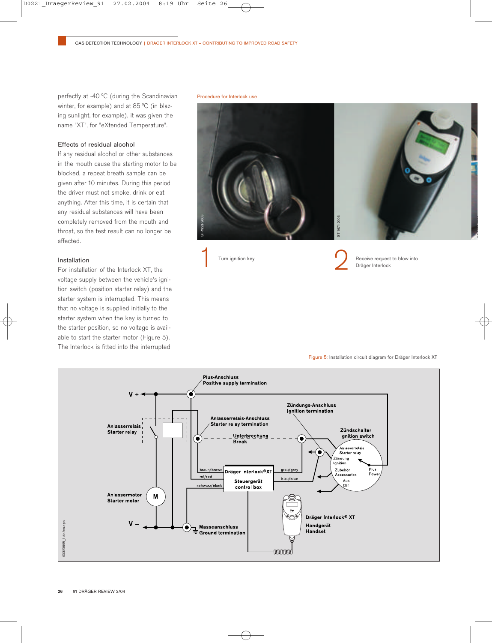perfectly at -40 °C (during the Scandinavian winter, for example) and at 85 °C (in blazing sunlight, for example), it was given the name "XT", for "eXtended Temperature".

## Effects of residual alcohol

If any residual alcohol or other substances in the mouth cause the starting motor to be blocked, a repeat breath sample can be given after 10 minutes. During this period the driver must not smoke, drink or eat anything. After this time, it is certain that any residual substances will have been completely removed from the mouth and throat, so the test result can no longer be affected.

## Installation

For installation of the Interlock XT, the voltage supply between the vehicle's ignition switch (position starter relay) and the starter system is interrupted. This means that no voltage is supplied initially to the starter system when the key is turned to the starter position, so no voltage is available to start the starter motor (Figure 5). The Interlock is fitted into the interrupted

Procedure for Interlock use









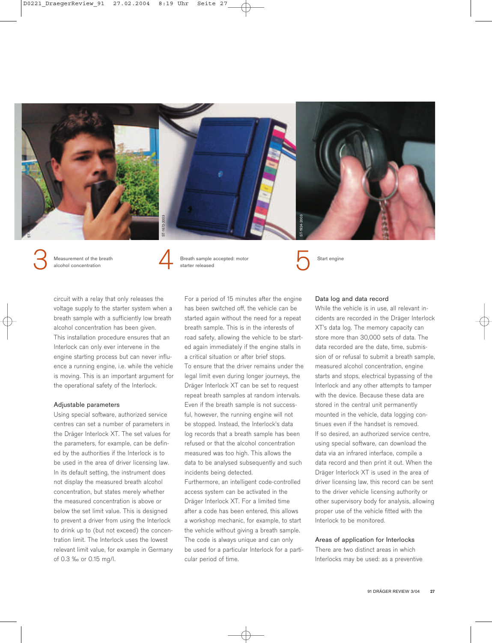

Measurement of the breath alcohol concentration



Breath sample accepted: motor starter released Measurement of the breath<br>alcohol concentration<br>alcohol concentration<br>alcohol concentration<br>alcohol concentration<br>by Starter released

Start engine

circuit with a relay that only releases the voltage supply to the starter system when a breath sample with a sufficiently low breath alcohol concentration has been given. This installation procedure ensures that an Interlock can only ever intervene in the engine starting process but can never influence a running engine, i.e. while the vehicle is moving. This is an important argument for the operational safety of the Interlock.

## Adjustable parameters

Using special software, authorized service centres can set a number of parameters in the Dräger Interlock XT. The set values for the parameters, for example, can be defined by the authorities if the Interlock is to be used in the area of driver licensing law. In its default setting, the instrument does not display the measured breath alcohol concentration, but states merely whether the measured concentration is above or below the set limit value. This is designed to prevent a driver from using the Interlock to drink up to (but not exceed) the concentration limit. The Interlock uses the lowest relevant limit value, for example in Germany of 0.3 ‰ or 0.15 mg/l.

For a period of 15 minutes after the engine has been switched off, the vehicle can be started again without the need for a repeat breath sample. This is in the interests of road safety, allowing the vehicle to be started again immediately if the engine stalls in a critical situation or after brief stops. To ensure that the driver remains under the legal limit even during longer journeys, the Dräger Interlock XT can be set to request repeat breath samples at random intervals. Even if the breath sample is not successful, however, the running engine will not be stopped. Instead, the Interlock's data log records that a breath sample has been refused or that the alcohol concentration measured was too high. This allows the data to be analysed subsequently and such incidents being detected.

Furthermore, an intelligent code-controlled access system can be activated in the Dräger Interlock XT. For a limited time after a code has been entered, this allows a workshop mechanic, for example, to start the vehicle without giving a breath sample. The code is always unique and can only be used for a particular Interlock for a particular period of time.

#### Data log and data record

While the vehicle is in use, all relevant incidents are recorded in the Dräger Interlock XT's data log. The memory capacity can store more than 30,000 sets of data. The data recorded are the date, time, submission of or refusal to submit a breath sample, measured alcohol concentration, engine starts and stops, electrical bypassing of the Interlock and any other attempts to tamper with the device. Because these data are stored in the central unit permanently mounted in the vehicle, data logging continues even if the handset is removed. If so desired, an authorized service centre, using special software, can download the data via an infrared interface, compile a data record and then print it out. When the Dräger Interlock XT is used in the area of driver licensing law, this record can be sent to the driver vehicle licensing authority or other supervisory body for analysis, allowing proper use of the vehicle fitted with the Interlock to be monitored.

#### Areas of application for Interlocks

There are two distinct areas in which Interlocks may be used: as a preventive